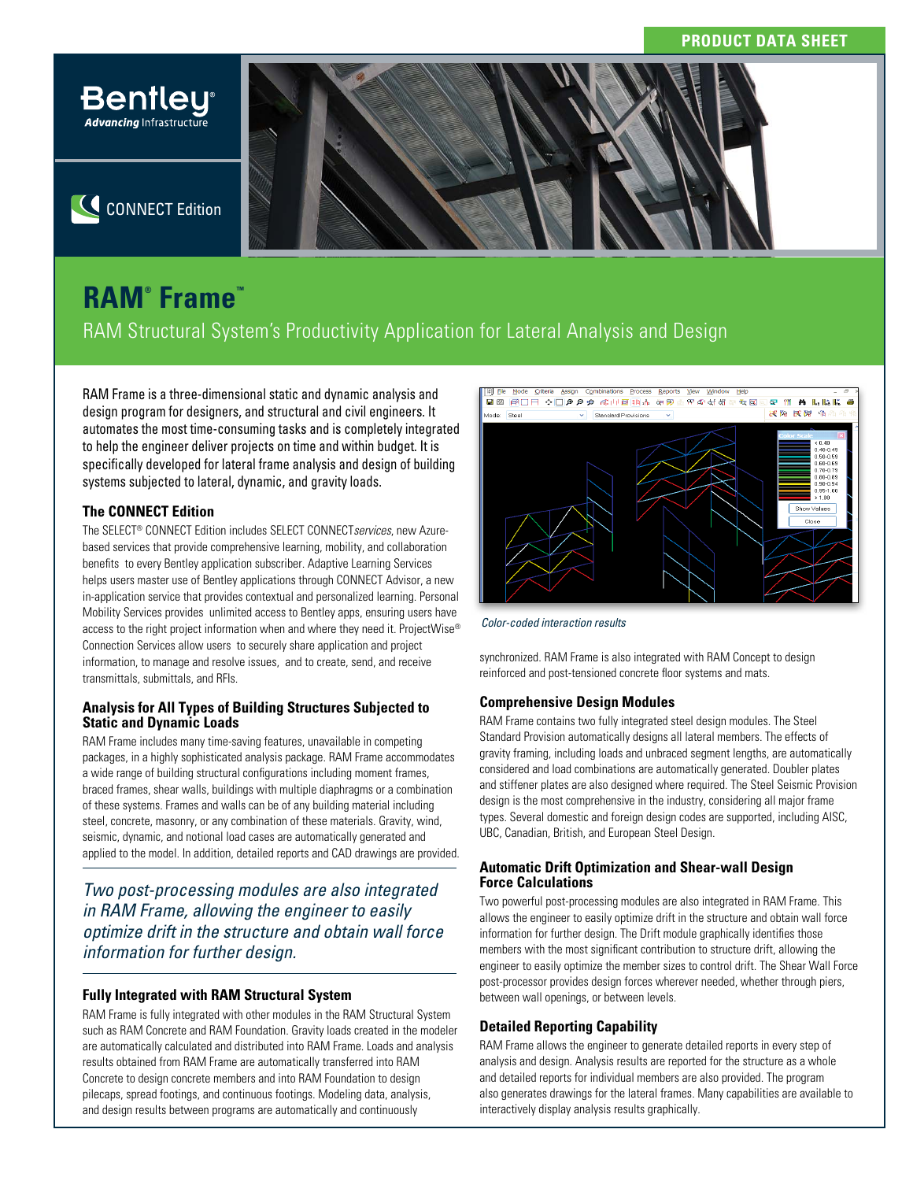

C CONNECT Edition

# **RAM® Frame™**

RAM Structural System's Productivity Application for Lateral Analysis and Design

RAM Frame is a three-dimensional static and dynamic analysis and design program for designers, and structural and civil engineers. It automates the most time-consuming tasks and is completely integrated to help the engineer deliver projects on time and within budget. It is specifically developed for lateral frame analysis and design of building systems subjected to lateral, dynamic, and gravity loads.

### **The CONNECT Edition**

The SELECT® CONNECT Edition includes SELECT CONNECT*services*, new Azurebased services that provide comprehensive learning, mobility, and collaboration benefits to every Bentley application subscriber. Adaptive Learning Services helps users master use of Bentley applications through CONNECT Advisor, a new in-application service that provides contextual and personalized learning. Personal Mobility Services provides unlimited access to Bentley apps, ensuring users have access to the right project information when and where they need it. ProjectWise® Connection Services allow users to securely share application and project information, to manage and resolve issues, and to create, send, and receive transmittals, submittals, and RFIs.

### **Analysis for All Types of Building Structures Subjected to Static and Dynamic Loads**

RAM Frame includes many time-saving features, unavailable in competing packages, in a highly sophisticated analysis package. RAM Frame accommodates a wide range of building structural configurations including moment frames, braced frames, shear walls, buildings with multiple diaphragms or a combination of these systems. Frames and walls can be of any building material including steel, concrete, masonry, or any combination of these materials. Gravity, wind, seismic, dynamic, and notional load cases are automatically generated and applied to the model. In addition, detailed reports and CAD drawings are provided.

*Two post-processing modules are also integrated in RAM Frame, allowing the engineer to easily optimize drift in the structure and obtain wall force information for further design.*

### **Fully Integrated with RAM Structural System**

RAM Frame is fully integrated with other modules in the RAM Structural System such as RAM Concrete and RAM Foundation. Gravity loads created in the modeler are automatically calculated and distributed into RAM Frame. Loads and analysis results obtained from RAM Frame are automatically transferred into RAM Concrete to design concrete members and into RAM Foundation to design pilecaps, spread footings, and continuous footings. Modeling data, analysis, and design results between programs are automatically and continuously



*Color-coded interaction results*

synchronized. RAM Frame is also integrated with RAM Concept to design reinforced and post-tensioned concrete floor systems and mats.

### **Comprehensive Design Modules**

RAM Frame contains two fully integrated steel design modules. The Steel Standard Provision automatically designs all lateral members. The effects of gravity framing, including loads and unbraced segment lengths, are automatically considered and load combinations are automatically generated. Doubler plates and stiffener plates are also designed where required. The Steel Seismic Provision design is the most comprehensive in the industry, considering all major frame types. Several domestic and foreign design codes are supported, including AISC, UBC, Canadian, British, and European Steel Design.

### **Automatic Drift Optimization and Shear-wall Design Force Calculations**

Two powerful post-processing modules are also integrated in RAM Frame. This allows the engineer to easily optimize drift in the structure and obtain wall force information for further design. The Drift module graphically identifies those members with the most significant contribution to structure drift, allowing the engineer to easily optimize the member sizes to control drift. The Shear Wall Force post-processor provides design forces wherever needed, whether through piers, between wall openings, or between levels.

### **Detailed Reporting Capability**

RAM Frame allows the engineer to generate detailed reports in every step of analysis and design. Analysis results are reported for the structure as a whole and detailed reports for individual members are also provided. The program also generates drawings for the lateral frames. Many capabilities are available to interactively display analysis results graphically.